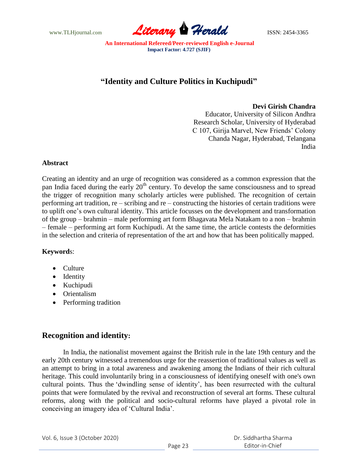

# **"Identity and Culture Politics in Kuchipudi"**

### **Devi Girish Chandra**

Educator, University of Silicon Andhra Research Scholar, University of Hyderabad C 107, Girija Marvel, New Friends" Colony Chanda Nagar, Hyderabad, Telangana India

### **Abstract**

Creating an identity and an urge of recognition was considered as a common expression that the pan India faced during the early  $20<sup>th</sup>$  century. To develop the same consciousness and to spread the trigger of recognition many scholarly articles were published. The recognition of certain performing art tradition, re – scribing and re – constructing the histories of certain traditions were to uplift one"s own cultural identity. This article focusses on the development and transformation of the group – brahmin – male performing art form Bhagavata Mela Natakam to a non – brahmin – female – performing art form Kuchipudi. At the same time, the article contests the deformities in the selection and criteria of representation of the art and how that has been politically mapped.

### **Keyword**s:

- Culture
- Identity
- Kuchipudi
- Orientalism
- Performing tradition

## **Recognition and identity:**

In India, the nationalist movement against the British rule in the late 19th century and the early 20th century witnessed a tremendous urge for the reassertion of traditional values as well as an attempt to bring in a total awareness and awakening among the Indians of their rich cultural heritage. This could involuntarily bring in a consciousness of identifying oneself with one's own cultural points. Thus the "dwindling sense of identity", has been resurrected with the cultural points that were formulated by the revival and reconstruction of several art forms. These cultural reforms, along with the political and socio-cultural reforms have played a pivotal role in conceiving an imagery idea of "Cultural India".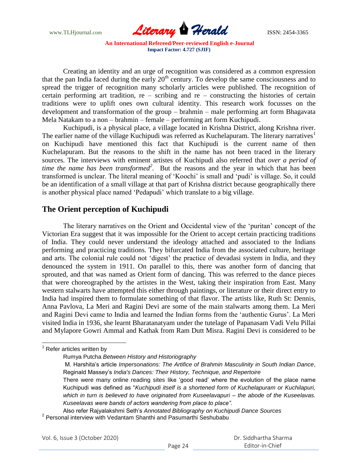

Creating an identity and an urge of recognition was considered as a common expression that the pan India faced during the early 20<sup>th</sup> century. To develop the same consciousness and to spread the trigger of recognition many scholarly articles were published. The recognition of certain performing art tradition, re – scribing and re – constructing the histories of certain traditions were to uplift ones own cultural identity. This research work focusses on the development and transformation of the group – brahmin – male performing art form Bhagavata Mela Natakam to a non – brahmin – female – performing art form Kuchipudi.

Kuchipudi, is a physical place, a village located in Krishna District, along Krishna river. The earlier name of the village Kuchipudi was referred as Kuchelapuram. The literary narratives<sup>1</sup> on Kuchipudi have mentioned this fact that Kuchipudi is the current name of then Kuchelapuram. But the reasons to the shift in the name has not been traced in the literary sources. The interviews with eminent artistes of Kuchipudi also referred that *over a period of time the name has been transformed<sup>2</sup> .* But the reasons and the year in which that has been transformed is unclear. The literal meaning of "Koochi" is small and "pudi" is village. So, it could be an identification of a small village at that part of Krishna district because geographically there is another physical place named 'Pedapudi' which translate to a big village.

## **The Orient perception of Kuchipudi**

The literary narratives on the Orient and Occidental view of the "puritan" concept of the Victorian Era suggest that it was impossible for the Orient to accept certain practicing traditions of India. They could never understand the ideology attached and associated to the Indians performing and practicing traditions. They bifurcated India from the associated culture, heritage and arts. The colonial rule could not 'digest' the practice of devadasi system in India, and they denounced the system in 1911. On parallel to this, there was another form of dancing that sprouted, and that was named as Orient form of dancing. This was referred to the dance pieces that were choreographed by the artistes in the West, taking their inspiration from East. Many western stalwarts have attempted this either through paintings, or literature or their direct entry to India had inspired them to formulate something of that flavor. The artists like, Ruth St: Dennis, Anna Pavlova, La Meri and Ragini Devi are some of the main stalwarts among them. La Meri and Ragini Devi came to India and learned the Indian forms from the "authentic Gurus". La Meri visited India in 1936, she learnt Bharatanatyam under the tutelage of Papanasam Vadi Velu Pillai and Mylapore Gowri Ammal and Kathak from Ram Dutt Misra. Ragini Devi is considered to be

 $1$  Refer articles written by

Rumya Putcha *Between History and Historiography*

M. Harshita"s article *Impersonations: The Artifice of Brahmin Masculinity in South Indian Dance*, Reginald Massey"s *India's Dances: Their History, Technique, and Repertoire*

There were many online reading sites like "good read" where the evolution of the place name Kuchipudi was defined as "*Kuchipudi itself is a shortened form of Kuchelapuram or Kuchilapuri, which in turn is believed to have originated from Kuseelavapuri – the abode of the Kuseelavas. Kuseelavas were bands of actors wandering from place to place".*

Also refer Rajyalakshmi Seth"s *Annotated Bibliography on Kuchipudi Dance Sources* 2 Personal interview with Vedantam Shanthi and Pasumarthi Seshubabu

Vol. 6, Issue 3 (October 2020)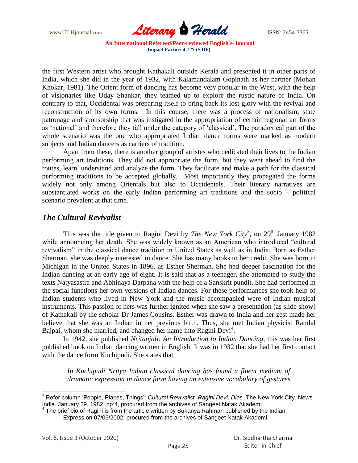

the first Western artist who brought Kathakali outside Kerala and presented it in other parts of India, which she did in the year of 1932, with Kalamandalam Gopinath as her partner (Mohan Khokar, 1981). The Orient form of dancing has become very popular in the West, with the help of visionaries like Uday Shankar, they teamed up to explore the rustic nature of India. On contrary to that, Occidental was preparing itself to bring back its lost glory with the revival and reconstruction of its own forms. In this course, there was a process of nationalism, state patronage and sponsorship that was instigated in the appropriation of certain regional art forms as "national" and therefore they fall under the category of "classical". The paradoxical part of the whole scenario was the one who appropriated Indian dance forms were marked as modern subjects and Indian dancers as carriers of tradition.

Apart from these, there is another group of artistes who dedicated their lives to the Indian performing art traditions. They did not appropriate the form, but they went ahead to find the routes, learn, understand and analyze the form. They facilitate and make a path for the classical performing traditions to be accepted globally. Most importantly they propagated the forms widely not only among Orientals but also to Occidentals. Their literary narratives are substantiated works on the early Indian performing art traditions and the socio – political scenario prevalent at that time.

### *The Cultural Revivalist*

This was the title given to Ragini Devi by *The New York City<sup>3</sup>*, on 29<sup>th</sup> January 1982 while announcing her death. She was widely known as an American who introduced "cultural revivalism" in the classical dance tradition in United States as well as in India. Born as Esther Sherman, she was deeply interested in dance. She has many books to her credit. She was born in Michigan in the United States in 1896, as Esther Sherman. She had deeper fascination for the Indian dancing at an early age of eight. It is said that as a teenager, she attempted to study the texts Natyasastra and Abhinaya Darpana with the help of a Sanskrit pundit. She had performed in the social functions her own versions of Indian dances. For these performances she took help of Indian students who lived in New York and the music accompanied were of Indian musical instruments. This passion of hers was further ignited when she saw a presentation (as slide show) of Kathakali by the scholar Dr James Cousins. Esther was drawn to India and her zest made her believe that she was an Indian in her previous birth. Thus, she met Indian physicist Ramlal Bajpai, whom she married, and changed her name into Ragini Devi<sup>4</sup>.

In 1942, she published *Nritanjali: An Introduction to Indian Dancing*, this was her first published book on Indian dancing written in English. It was in 1932 that she had her first contact with the dance form Kuchipudi. She states that

*In Kuchipudi Nritya Indian classical dancing has found a fluent medium of dramatic expression in dance form having an extensive vocabulary of gestures* 

Vol. 6, Issue 3 (October 2020)

<sup>3</sup> Refer column "People, Places, Things": *Cultural Revivalist, Ragini Devi, Dies.* The New York City. News India. January 29, 1982. pp:4, procured from the archives of Sangeet Natak Akademi<br><sup>4</sup> The brief bio of Ragini is from the article written by Sukanya Rahman published by the Indian

Express on 07/06/2002, procured from the archives of Sangeet Natak Akademi.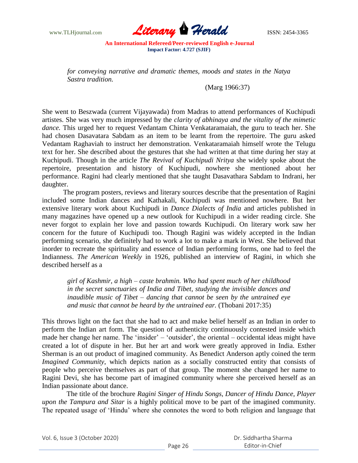

*for conveying narrative and dramatic themes, moods and states in the Natya Sastra tradition.* 

(Marg 1966:37)

She went to Beszwada (current Vijayawada) from Madras to attend performances of Kuchipudi artistes. She was very much impressed by the *clarity of abhinaya and the vitality of the mimetic dance.* This urged her to request Vedantam Chinta Venkataramaiah, the guru to teach her. She had chosen Dasavatara Sabdam as an item to be learnt from the repertoire. The guru asked Vedantam Raghaviah to instruct her demonstration. Venkataramaiah himself wrote the Telugu text for her. She described about the gestures that she had written at that time during her stay at Kuchipudi. Though in the article *The Revival of Kuchipudi Nritya* she widely spoke about the repertoire, presentation and history of Kuchipudi, nowhere she mentioned about her performance. Ragini had clearly mentioned that she taught Dasavathara Sabdam to Indrani, her daughter.

The program posters, reviews and literary sources describe that the presentation of Ragini included some Indian dances and Kathakali, Kuchipudi was mentioned nowhere. But her extensive literary work about Kuchipudi in *Dance Dialects of India* and articles published in many magazines have opened up a new outlook for Kuchipudi in a wider reading circle. She never forgot to explain her love and passion towards Kuchipudi. On literary work saw her concern for the future of Kuchipudi too. Though Ragini was widely accepted in the Indian performing scenario, she definitely had to work a lot to make a mark in West. She believed that inorder to recreate the spirituality and essence of Indian performing forms, one had to feel the Indianness. *The American Weekly* in 1926, published an interview of Ragini, in which she described herself as a

*girl of Kashmir, a high – caste brahmin. Who had spent much of her childhood in the secret sanctuaries of India and Tibet, studying the invisible dances and inaudible music of Tibet – dancing that cannot be seen by the untrained eye and music that cannot be heard by the untrained ear.* (Thobani 2017:35)

This throws light on the fact that she had to act and make belief herself as an Indian in order to perform the Indian art form. The question of authenticity continuously contested inside which made her change her name. The 'insider' – 'outsider', the oriental – occidental ideas might have created a lot of dispute in her. But her art and work were greatly approved in India. Esther Sherman is an out product of imagined community. As Benedict Anderson aptly coined the term *Imagined Community*, which depicts nation as a socially constructed entity that consists of people who perceive themselves as part of that group. The moment she changed her name to Ragini Devi, she has become part of imagined community where she perceived herself as an Indian passionate about dance.

 The title of the brochure *Ragini Singer of Hindu Songs, Dancer of Hindu Dance, Player upon the Tampura and Sitar* is a highly political move to be part of the imagined community. The repeated usage of "Hindu" where she connotes the word to both religion and language that

Vol. 6, Issue 3 (October 2020)

 Dr. Siddhartha Sharma Editor-in-Chief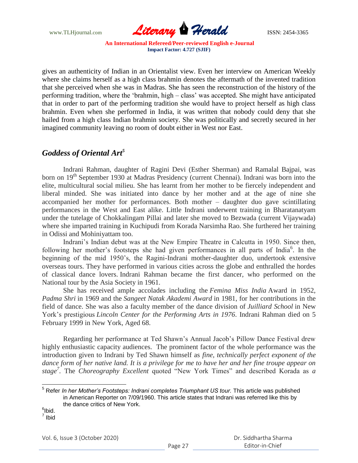

gives an authenticity of Indian in an Orientalist view. Even her interview on American Weekly where she claims herself as a high class brahmin denotes the aftermath of the invented tradition that she perceived when she was in Madras. She has seen the reconstruction of the history of the performing tradition, where the 'brahmin, high – class' was accepted. She might have anticipated that in order to part of the performing tradition she would have to project herself as high class brahmin. Even when she performed in India, it was written that nobody could deny that she hailed from a high class Indian brahmin society. She was politically and secretly secured in her imagined community leaving no room of doubt either in West nor East.

## *Goddess of Oriental Art<sup>5</sup>*

Indrani Rahman, daughter of Ragini Devi (Esther Sherman) and Ramalal Bajpai, was born on 19<sup>th</sup> September 1930 at Madras Presidency (current Chennai). Indrani was born into the elite, multicultural social milieu. She has learnt from her mother to be fiercely independent and liberal minded. She was initiated into dance by her mother and at the age of nine she accompanied her mother for performances. Both mother – daughter duo gave scintillating performances in the West and East alike. Little Indrani underwent training in Bharatanatyam under the tutelage of Chokkalingam Pillai and later she moved to Bezwada (current Vijaywada) where she imparted training in Kuchipudi from Korada Narsimha Rao. She furthered her training in Odissi and Mohiniyattam too.

Indrani's Indian debut was at the New Empire Theatre in Calcutta in 1950. Since then, following her mother's footsteps she had given performances in all parts of India<sup>6</sup>. In the beginning of the mid 1950"s, the Ragini-Indrani mother-daughter duo, undertook extensive overseas tours. They have performed in various cities across the globe and enthralled the hordes of classical dance lovers. Indrani Rahman became the first dancer, who performed on the National tour by the Asia Society in 1961.

She has received ample accolades including the *Femina Miss India* Award in 1952, *Padma Shri* in 1969 and the *Sangeet Natak Akademi Award* in 1981, for her contributions in the field of dance. She was also a faculty member of the dance division of *Juilliard School* in New York"s prestigious *Lincoln Center for the Performing Arts in 1976*. Indrani Rahman died on 5 February 1999 in New York, Aged 68.

Regarding her performance at Ted Shawn"s Annual Jacob"s Pillow Dance Festival drew highly enthusiastic capacity audiences. The prominent factor of the whole performance was the introduction given to Indrani by Ted Shawn himself as *fine, technically perfect exponent of the dance form of her native land. It is a privilege for me to have her and her fine troupe appear on stage<sup>7</sup> .* The *Choreography Excellent* quoted "New York Times" and described Korada as *a* 

<sup>5</sup> Refer *In her Mother's Footsteps: Indrani completes Triumphant US tour.* This article was published in American Reporter on 7/09/1960. This article states that Indrani was referred like this by the dance critics of New York.

 $^6$ lbid. 7 Ibid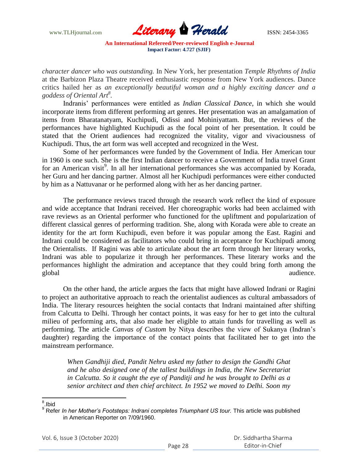www.TLHjournal.com **Literary Herald Herald ISSN: 2454-3365** 

*character dancer who was outstanding.* In New York, her presentation *Temple Rhythms of India*  at the Barbizon Plaza Theatre received enthusiastic response from New York audiences. Dance critics hailed her as *an exceptionally beautiful woman and a highly exciting dancer and a goddess of Oriental Art<sup>8</sup> .* 

Indranis" performances were entitled as *Indian Classical Dance*, in which she would incorporate items from different performing art genres. Her presentation was an amalgamation of items from Bharatanatyam, Kuchipudi, Odissi and Mohiniyattam. But, the reviews of the performances have highlighted Kuchipudi as the focal point of her presentation. It could be stated that the Orient audiences had recognized the vitality, vigor and vivaciousness of Kuchipudi. Thus, the art form was well accepted and recognized in the West.

Some of her performances were funded by the Government of India. Her American tour in 1960 is one such. She is the first Indian dancer to receive a Government of India travel Grant for an American visit<sup>9</sup>. In all her international performances she was accompanied by Korada, her Guru and her dancing partner. Almost all her Kuchipudi performances were either conducted by him as a Nattuvanar or he performed along with her as her dancing partner.

The performance reviews traced through the research work reflect the kind of exposure and wide acceptance that Indrani received. Her choreographic works had been acclaimed with rave reviews as an Oriental performer who functioned for the upliftment and popularization of different classical genres of performing tradition. She, along with Korada were able to create an identity for the art form Kuchipudi, even before it was popular among the East. Ragini and Indrani could be considered as facilitators who could bring in acceptance for Kuchipudi among the Orientalists. If Ragini was able to articulate about the art form through her literary works, Indrani was able to popularize it through her performances. These literary works and the performances highlight the admiration and acceptance that they could bring forth among the global audience.

On the other hand, the article argues the facts that might have allowed Indrani or Ragini to project an authoritative approach to reach the orientalist audiences as cultural ambassadors of India. The literary resources heighten the social contacts that Indrani maintained after shifting from Calcutta to Delhi. Through her contact points, it was easy for her to get into the cultural milieu of performing arts, that also made her eligible to attain funds for travelling as well as performing. The article *Canvas of Custom* by Nitya describes the view of Sukanya (Indran"s daughter) regarding the importance of the contact points that facilitated her to get into the mainstream performance.

*When Gandhiji died, Pandit Nehru asked my father to design the Gandhi Ghat and he also designed one of the tallest buildings in India, the New Secretariat in Calcutta. So it caught the eye of Panditji and he was brought to Delhi as a senior architect and then chief architect. In 1952 we moved to Delhi. Soon my* 

<sup>&</sup>lt;sup>8</sup>.Ibid

<sup>9</sup> Refer *In her Mother's Footsteps: Indrani completes Triumphant US tour.* This article was published in American Reporter on 7/09/1960.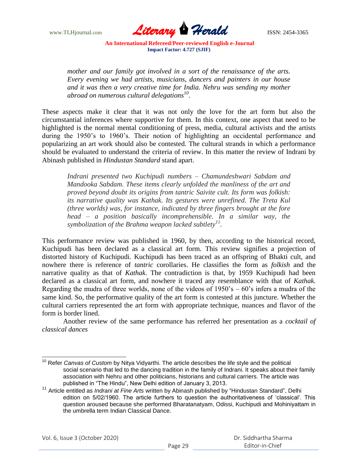

*mother and our family got involved in a sort of the renaissance of the arts. Every evening we had artists, musicians, dancers and painters in our house and it was then a very creative time for India. Nehru was sending my mother abroad on numerous cultural delegations<sup>10</sup> .*

These aspects make it clear that it was not only the love for the art form but also the circumstantial inferences where supportive for them. In this context, one aspect that need to be highlighted is the normal mental conditioning of press, media, cultural activists and the artists during the 1950's to 1960's. Their notion of highlighting an occidental performance and popularizing an art work should also be contested. The cultural strands in which a performance should be evaluated to understand the criteria of review. In this matter the review of Indrani by Abinash published in *Hindustan Standard* stand apart.

*Indrani presented two Kuchipudi numbers – Chamundeshwari Sabdam and Mandooka Sabdam. These items clearly unfolded the manliness of the art and proved beyond doubt its origins from tantric Saivite cult. Its form was folkish: its narrative quality was Kathak. Its gestures were unrefined. The Treta Kul (three worlds) was, for instance, indicated by three fingers brought at the fore head – a position basically incomprehensible. In a similar way, the symbolization of the Brahma weapon lacked subtlety<sup>11</sup> .*

This performance review was published in 1960, by then, according to the historical record, Kuchipudi has been declared as a classical art form. This review signifies a projection of distorted history of Kuchipudi. Kuchipudi has been traced as an offspring of Bhakti cult, and nowhere there is reference of *tantric* corollaries. He classifies the form as *folkish* and the narrative quality as that of *Kathak*. The contradiction is that, by 1959 Kuchipudi had been declared as a classical art form, and nowhere it traced any resemblance with that of *Kathak.*  Regarding the mudra of three worlds, none of the videos of  $1950$ 's  $-60$ 's infers a mudra of the same kind. So, the performative quality of the art form is contested at this juncture. Whether the cultural carriers represented the art form with appropriate technique, nuances and flavor of the form is border lined.

Another review of the same performance has referred her presentation as a *cocktail of classical dances*

 $\overline{\phantom{a}}$ <sup>10</sup> Refer *Canvas of Custom* by Nitya Vidyarthi. The article describes the life style and the political social scenario that led to the dancing tradition in the family of Indrani. It speaks about their family association with Nehru and other politicians, historians and cultural carriers. The article was published in "The Hindu", New Delhi edition of January 3, 2013.

<sup>11</sup> Article entitled as *Indrani at Fine Arts* written by Abinash published by "Hindustan Standard", Delhi edition on 5/02/1960. The article furthers to question the authoritativeness of "classical". This question aroused because she performed Bharatanatyam, Odissi, Kuchipudi and Mohiniyattam in the umbrella term Indian Classical Dance.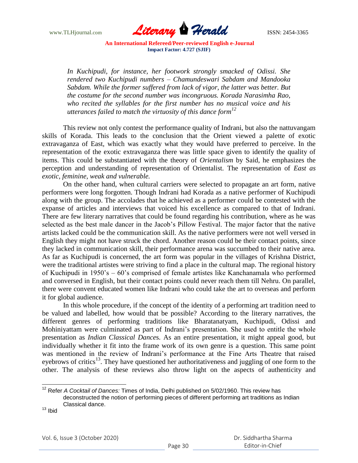

*In Kuchipudi, for instance, her footwork strongly smacked of Odissi. She rendered two Kuchipudi numbers – Chamundeswari Sabdam and Mandooka Sabdam. While the former suffered from lack of vigor, the latter was better. But the costume for the second number was incongruous. Korada Narasimha Rao, who recited the syllables for the first number has no musical voice and his utterances failed to match the virtuosity of this dance form<sup>12</sup>*

This review not only contest the performance quality of Indrani, but also the nattuvangam skills of Korada. This leads to the conclusion that the Orient viewed a palette of exotic extravaganza of East, which was exactly what they would have preferred to perceive. In the representation of the exotic extravaganza there was little space given to identify the quality of items. This could be substantiated with the theory of *Orientalism* by Said, he emphasizes the perception and understanding of representation of Orientalist. The representation of *East as exotic, feminine, weak and vulnerable.* 

On the other hand, when cultural carriers were selected to propagate an art form, native performers were long forgotten. Though Indrani had Korada as a native performer of Kuchipudi along with the group. The accolades that he achieved as a performer could be contested with the expanse of articles and interviews that voiced his excellence as compared to that of Indrani. There are few literary narratives that could be found regarding his contribution, where as he was selected as the best male dancer in the Jacob"s Pillow Festival. The major factor that the native artists lacked could be the communication skill. As the native performers were not well versed in English they might not have struck the chord. Another reason could be their contact points, since they lacked in communication skill, their performance arena was succumbed to their native area. As far as Kuchipudi is concerned, the art form was popular in the villages of Krishna District, were the traditional artistes were striving to find a place in the cultural map. The regional history of Kuchipudi in 1950"s – 60"s comprised of female artistes like Kanchanamala who performed and conversed in English, but their contact points could never reach them till Nehru. On parallel, there were convent educated women like Indrani who could take the art to overseas and perform it for global audience.

In this whole procedure, if the concept of the identity of a performing art tradition need to be valued and labelled, how would that be possible? According to the literary narratives, the different genres of performing traditions like Bharatanatyam, Kuchipudi, Odissi and Mohiniyattam were culminated as part of Indrani"s presentation. She used to entitle the whole presentation as *Indian Classical Dance*s. As an entire presentation, it might appeal good, but individually whether it fit into the frame work of its own genre is a question. This same point was mentioned in the review of Indrani"s performance at the Fine Arts Theatre that raised eyebrows of critics<sup>13</sup>. They have questioned her authoritativeness and juggling of one form to the other. The analysis of these reviews also throw light on the aspects of authenticity and

 <sup>12</sup> Refer *A Cocktail of Dances:* Times of India, Delhi published on 5/02/1960. This review has deconstructed the notion of performing pieces of different performing art traditions as Indian Classical dance.

 $13$  Ibid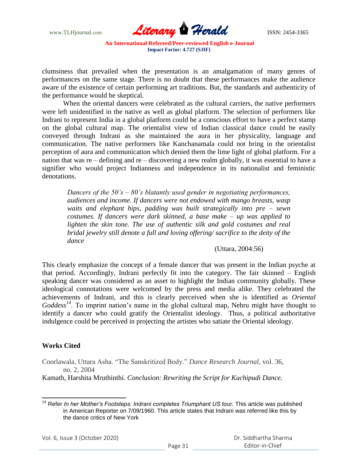

clumsiness that prevailed when the presentation is an amalgamation of many genres of performances on the same stage. There is no doubt that these performances make the audience aware of the existence of certain performing art traditions. But, the standards and authenticity of the performance would be skeptical.

When the oriental dancers were celebrated as the cultural carriers, the native performers were left unidentified in the native as well as global platform. The selection of performers like Indrani to represent India in a global platform could be a conscious effort to have a perfect stamp on the global cultural map. The orientalist view of Indian classical dance could be easily conveyed through Indrani as she maintained the aura in her physicality, language and communication. The native performers like Kanchanamala could not bring in the orientalist perception of aura and communication which denied them the lime light of global platform. For a nation that was re – defining and re – discovering a new realm globally, it was essential to have a signifier who would project Indianness and independence in its nationalist and feministic denotations.

*Dancers of the 50's – 80's blatantly used gender in negotiating performances, audiences and income. If dancers were not endowed with mango breasts, wasp waits and elephant hips, padding was built strategically into pre – sewn costumes. If dancers were dark skinned, a base make – up was applied to*  lighten the skin tone. The use of authentic silk and gold costumes and real *bridal jewelry still denote a full and loving offering/ sacrifice to the deity of the dance*

#### (Uttara, 2004:56)

This clearly emphasize the concept of a female dancer that was present in the Indian psyche at that period. Accordingly, Indrani perfectly fit into the category. The fair skinned – English speaking dancer was considered as an asset to highlight the Indian community globally. These ideological connotations were welcomed by the press and media alike. They celebrated the achievements of Indrani, and this is clearly perceived when she is identified as *Oriental Goddess<sup>14</sup>*. To imprint nation"s name in the global cultural map, Nehru might have thought to identify a dancer who could gratify the Orientalist ideology. Thus, a political authoritative indulgence could be perceived in projecting the artistes who satiate the Oriental ideology.

#### **Works Cited**

 $\overline{\phantom{a}}$ 

Coorlawala, Uttara Asha. "The Sanskritized Body." *Dance Research Journal*, vol. 36, no. 2, 2004

Kamath, Harshita Mruthinthi. *Conclusion: Rewriting the Script for Kuchipudi Dance.* 

Vol. 6, Issue 3 (October 2020)

<sup>&</sup>lt;sup>14</sup> Refer *In her Mother's Footsteps: Indrani completes Triumphant US tour.* This article was published in American Reporter on 7/09/1960. This article states that Indrani was referred like this by the dance critics of New York